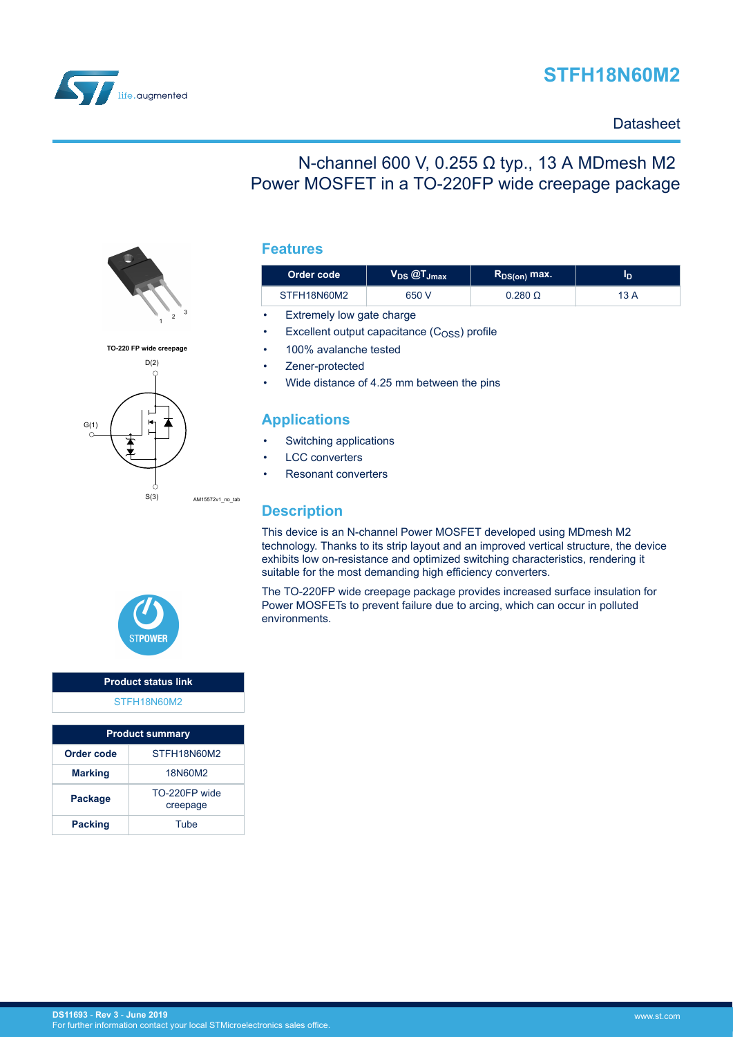# **STFH18N60M2**



### **Datasheet**

## N-channel 600 V, 0.255 Ω typ., 13 A MDmesh M2 Power MOSFET in a TO-220FP wide creepage package



| Order code  | $\bm{\mathsf{V}}_\mathsf{DS}$ $\bm{\textcircled{c}}\bm{\mathsf{T}}_\mathsf{Jmax}$ | $R_{DS(on)}$ max. |      |
|-------------|-----------------------------------------------------------------------------------|-------------------|------|
| STFH18N60M2 | 650 V                                                                             | $0.280$ $\Omega$  | 13 A |

- Extremely low gate charge
- Excellent output capacitance  $(C<sub>OSS</sub>)$  profile
- 100% avalanche tested
- Zener-protected
- Wide distance of 4.25 mm between the pins

### **Applications**

- Switching applications
- **LCC** converters
- Resonant converters

### **Description**

AM15572v1\_no\_tab

This device is an N-channel Power MOSFET developed using MDmesh M2 technology. Thanks to its strip layout and an improved vertical structure, the device exhibits low on-resistance and optimized switching characteristics, rendering it suitable for the most demanding high efficiency converters.

The TO-220FP wide creepage package provides increased surface insulation for Power MOSFETs to prevent failure due to arcing, which can occur in polluted environments.



**TO-220 FP wide creepage**

G(1)

 $D(2)$ 

S(3)

### **Product status link** [STFH18N60M2](https://www.st.com/en/product/STFH18N60M2)

| <b>Product summary</b> |                           |  |  |
|------------------------|---------------------------|--|--|
| Order code             | STFH18N60M2               |  |  |
| <b>Marking</b>         | 18N60M2                   |  |  |
| <b>Package</b>         | TO-220FP wide<br>creepage |  |  |
| <b>Packing</b>         | Tube                      |  |  |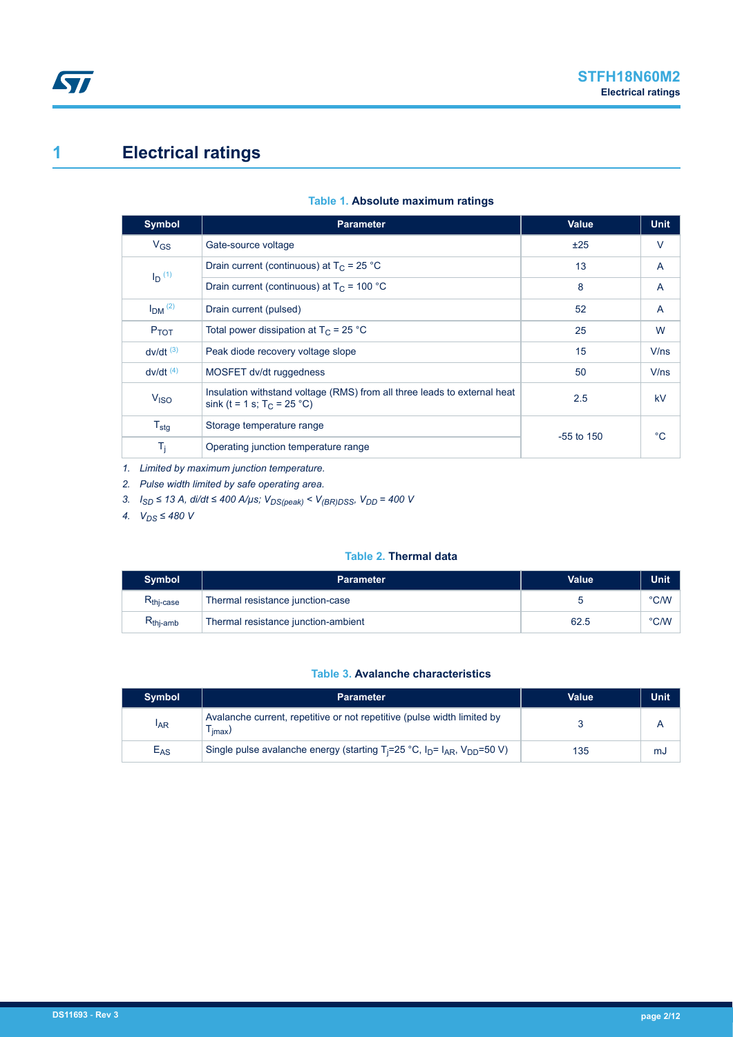# <span id="page-1-0"></span>**1 Electrical ratings**

| Table 1. Absolute maximum ratings |  |  |
|-----------------------------------|--|--|
|-----------------------------------|--|--|

| Symbol                 | <b>Parameter</b>                                                                                            | Value        | <b>Unit</b> |
|------------------------|-------------------------------------------------------------------------------------------------------------|--------------|-------------|
| $V_{GS}$               | Gate-source voltage                                                                                         | ±25          | $\vee$      |
| $I_D$ (1)              | Drain current (continuous) at $T_C = 25 °C$                                                                 | 13           | A           |
|                        | Drain current (continuous) at $T_c$ = 100 °C                                                                | 8            | A           |
| $IDM$ <sup>(2)</sup>   | Drain current (pulsed)                                                                                      | 52           | A           |
| $P_{TOT}$              | Total power dissipation at $T_C = 25 °C$                                                                    | 25           | W           |
| $dv/dt$ <sup>(3)</sup> | Peak diode recovery voltage slope                                                                           | 15           | V/ns        |
| $dv/dt$ <sup>(4)</sup> | MOSFET dv/dt ruggedness                                                                                     | 50           | V/ns        |
| V <sub>ISO</sub>       | Insulation with stand voltage (RMS) from all three leads to external heat<br>sink (t = 1 s; $T_C = 25 °C$ ) | 2.5          | kV          |
| $T_{\text{stg}}$       | Storage temperature range                                                                                   | $-55$ to 150 | °C          |
| $T_j$                  | Operating junction temperature range                                                                        |              |             |

*1. Limited by maximum junction temperature.*

*2. Pulse width limited by safe operating area.*

*3. ISD ≤ 13 A, di/dt ≤ 400 A/µs; VDS(peak) < V(BR)DSS, VDD = 400 V*

*4. VDS ≤ 480 V*

#### **Table 2. Thermal data**

| <b>Symbol</b>         | <b>Parameter</b>                    | Value | Unit |
|-----------------------|-------------------------------------|-------|------|
| $R_{\text{thi-case}}$ | Thermal resistance junction-case    |       | °C/W |
| $R_{thj-amb}$         | Thermal resistance junction-ambient | 62.5  | °C/W |

#### **Table 3. Avalanche characteristics**

| <b>Symbol</b> | <b>Parameter</b>                                                                                          | Value | Unit |
|---------------|-----------------------------------------------------------------------------------------------------------|-------|------|
| <b>IAR</b>    | Avalanche current, repetitive or not repetitive (pulse width limited by<br>imax/                          |       |      |
| $E_{AS}$      | Single pulse avalanche energy (starting $T_i = 25 \degree C$ , $I_p = I_{AR}$ , $V_{DD} = 50 \degree V$ ) | 135   | mJ   |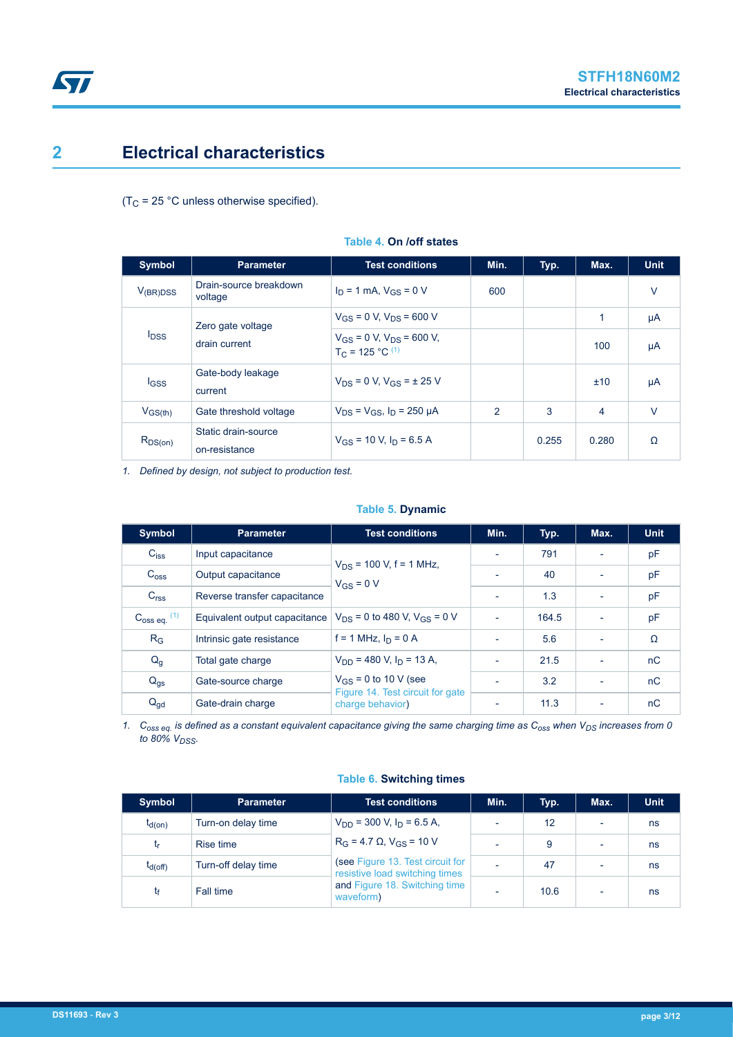## <span id="page-2-0"></span>**2 Electrical characteristics**

 $(T_C = 25 °C$  unless otherwise specified).

| <b>Symbol</b> | <b>Parameter</b>                     | <b>Test conditions</b>                                    | Min.          | Typ.  | Max.  | <b>Unit</b> |
|---------------|--------------------------------------|-----------------------------------------------------------|---------------|-------|-------|-------------|
| $V_{(BR)DSS}$ | Drain-source breakdown<br>voltage    | $I_D = 1$ mA, $V_{GS} = 0$ V                              | 600           |       |       | $\vee$      |
|               | Zero gate voltage                    | $V_{GS}$ = 0 V, $V_{DS}$ = 600 V                          |               |       | 1     | μA          |
| $I_{DSS}$     | drain current                        | $V_{GS}$ = 0 V, $V_{DS}$ = 600 V,<br>$T_C = 125 °C^{(1)}$ |               |       | 100   | μA          |
| <b>I</b> GSS  | Gate-body leakage<br>current         | $V_{DS} = 0 V, V_{GS} = \pm 25 V$                         |               |       | ±10   | μA          |
| $V_{GS(th)}$  | Gate threshold voltage               | $V_{DS} = V_{GS}$ , $I_D = 250 \mu A$                     | $\mathcal{P}$ | 3     | 4     | $\vee$      |
| $R_{DS(on)}$  | Static drain-source<br>on-resistance | $V_{GS}$ = 10 V, $I_D$ = 6.5 A                            |               | 0.255 | 0.280 | Ω           |

#### **Table 4. On /off states**

*1. Defined by design, not subject to production test.*

#### **Table 5. Dynamic**

| <b>Symbol</b>              | <b>Parameter</b>              | <b>Test conditions</b>                               | Min.                     | Typ.  | Max.                     | <b>Unit</b> |
|----------------------------|-------------------------------|------------------------------------------------------|--------------------------|-------|--------------------------|-------------|
| $C_{iss}$                  | Input capacitance             | $V_{DS}$ = 100 V, f = 1 MHz,                         | $\overline{\phantom{a}}$ | 791   |                          | pF          |
| $C_{\text{OSS}}$           | Output capacitance            | $V_{GS} = 0 V$                                       | $\overline{a}$           | 40    |                          | pF          |
| C <sub>rss</sub>           | Reverse transfer capacitance  |                                                      | $\overline{\phantom{a}}$ | 1.3   | ٠                        | pF          |
| $C_{\text{oss eq.}}^{(1)}$ | Equivalent output capacitance | $V_{DS}$ = 0 to 480 V, $V_{GS}$ = 0 V                | $\overline{\phantom{a}}$ | 164.5 |                          | pF          |
| $R_G$                      | Intrinsic gate resistance     | $f = 1$ MHz, $I_D = 0$ A                             | $\overline{\phantom{a}}$ | 5.6   | $\overline{\phantom{0}}$ | Ω           |
| $Q_{q}$                    | Total gate charge             | $V_{DD}$ = 480 V, $I_D$ = 13 A,                      | $\overline{\phantom{a}}$ | 21.5  | $\overline{\phantom{0}}$ | nC          |
| $Q_{gs}$                   | Gate-source charge            | $V_{GS}$ = 0 to 10 V (see                            | $\overline{\phantom{a}}$ | 3.2   | ٠                        | nC          |
| $Q_{gd}$                   | Gate-drain charge             | Figure 14. Test circuit for gate<br>charge behavior) |                          | 11.3  |                          | nC          |

*1. Coss eq. is defined as a constant equivalent capacitance giving the same charging time as Coss when VDS increases from 0 to 80% VDSS.*

#### **Table 6. Switching times**

| <b>Symbol</b> | <b>Parameter</b>    | <b>Test conditions</b>                                             | Min.                     | Typ. | Max.                     | <b>Unit</b> |
|---------------|---------------------|--------------------------------------------------------------------|--------------------------|------|--------------------------|-------------|
| $t_{d(on)}$   | Turn-on delay time  | $V_{DD}$ = 300 V, $I_D$ = 6.5 A,                                   | $\overline{\phantom{a}}$ | 12   | ٠                        | ns          |
| <b>Lr</b>     | Rise time           | $R_G = 4.7 \Omega$ , $V_{GS} = 10 V$                               | $\overline{\phantom{0}}$ | 9    | $\overline{\phantom{0}}$ | ns          |
| $t_{d(Off)}$  | Turn-off delay time | (see Figure 13. Test circuit for<br>resistive load switching times | $\overline{\phantom{0}}$ | 47   | $\overline{\phantom{a}}$ | ns          |
|               | Fall time           | and Figure 18. Switching time<br>waveform)                         | $\overline{\phantom{0}}$ | 10.6 | $\overline{\phantom{a}}$ | ns          |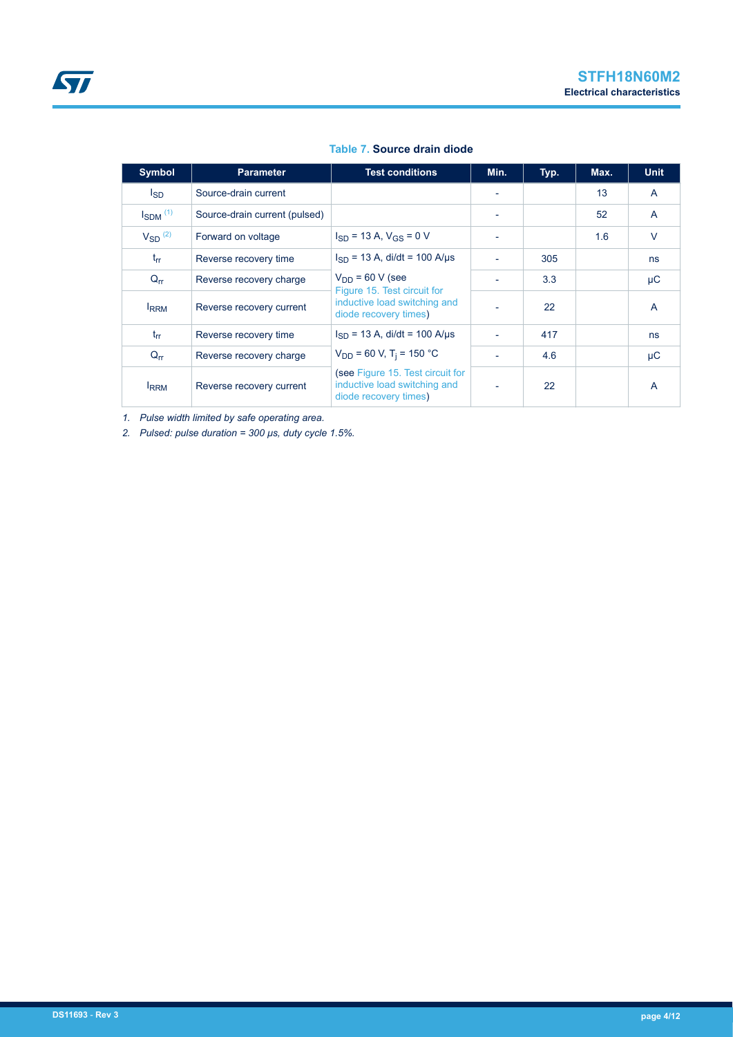| <b>Symbol</b>            | <b>Parameter</b>              | <b>Test conditions</b>                                                                    | Min. | Typ. | Max. | <b>Unit</b>    |
|--------------------------|-------------------------------|-------------------------------------------------------------------------------------------|------|------|------|----------------|
| l <sub>SD</sub>          | Source-drain current          |                                                                                           |      |      | 13   | A              |
| $I_{SDM}$ <sup>(1)</sup> | Source-drain current (pulsed) |                                                                                           |      |      | 52   | A              |
| $V_{SD}$ <sup>(2)</sup>  | Forward on voltage            | $I_{SD}$ = 13 A, $V_{GS}$ = 0 V                                                           |      |      | 1.6  | $\vee$         |
| $t_{rr}$                 | Reverse recovery time         | $I_{SD}$ = 13 A, di/dt = 100 A/µs                                                         | ۰    | 305  |      | ns             |
| $Q_{rr}$                 | Reverse recovery charge       | $V_{DD}$ = 60 V (see<br>Figure 15. Test circuit for                                       |      | 3.3  |      | μC             |
| <b>IRRM</b>              | Reverse recovery current      | inductive load switching and<br>diode recovery times)                                     |      | 22   |      | $\mathsf{A}$   |
| $t_{rr}$                 | Reverse recovery time         | $I_{SD}$ = 13 A, di/dt = 100 A/us                                                         |      | 417  |      | ns             |
| $Q_{\text{rr}}$          | Reverse recovery charge       | $V_{DD}$ = 60 V, T <sub>i</sub> = 150 °C                                                  |      | 4.6  |      | μC             |
| <b>IRRM</b>              | Reverse recovery current      | (see Figure 15. Test circuit for<br>inductive load switching and<br>diode recovery times) |      | 22   |      | $\overline{A}$ |

#### **Table 7. Source drain diode**

*1. Pulse width limited by safe operating area.*

*2. Pulsed: pulse duration = 300 μs, duty cycle 1.5%.*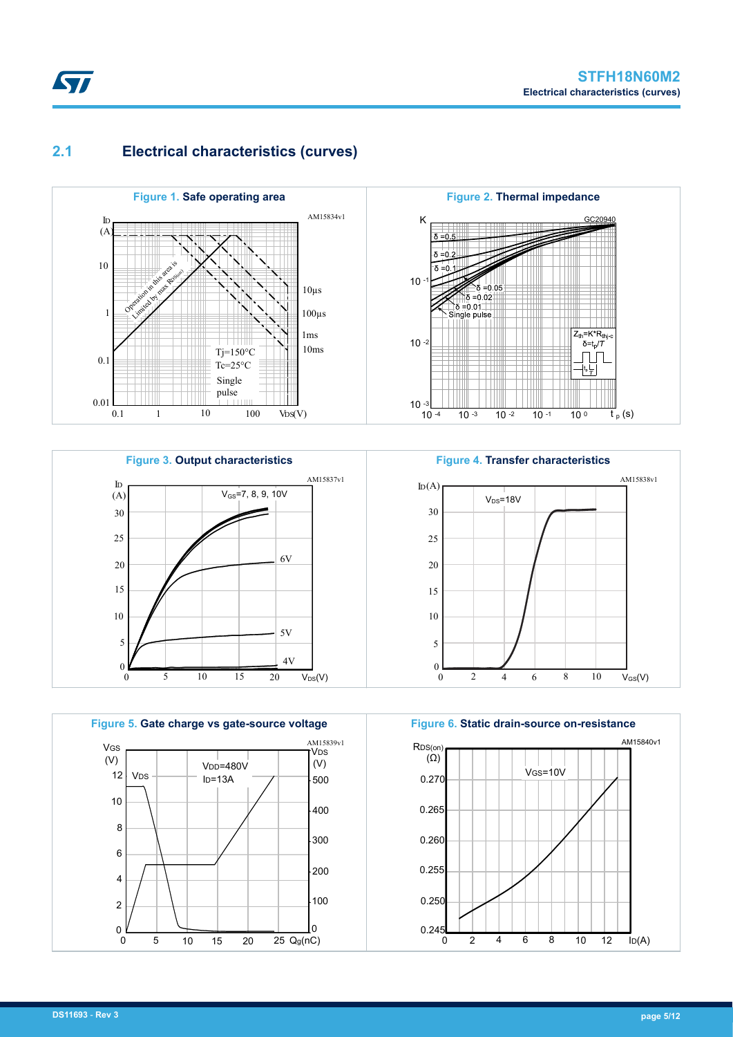### **2.1 Electrical characteristics (curves)**

<span id="page-4-0"></span>ST











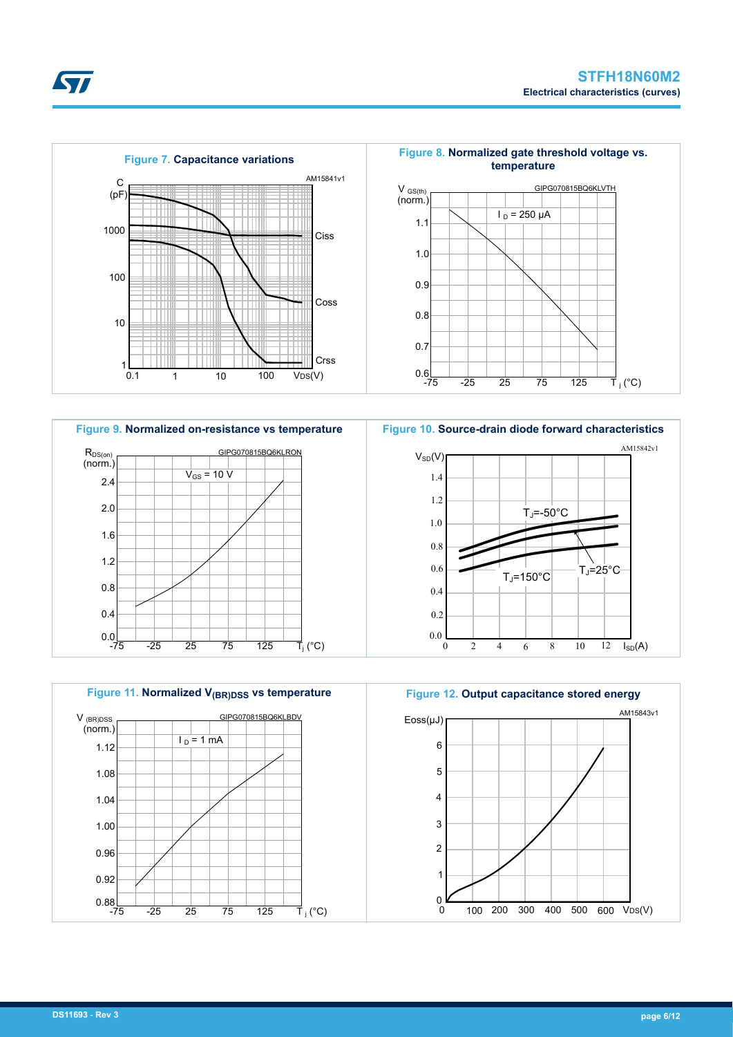









<span id="page-5-0"></span>*EAL*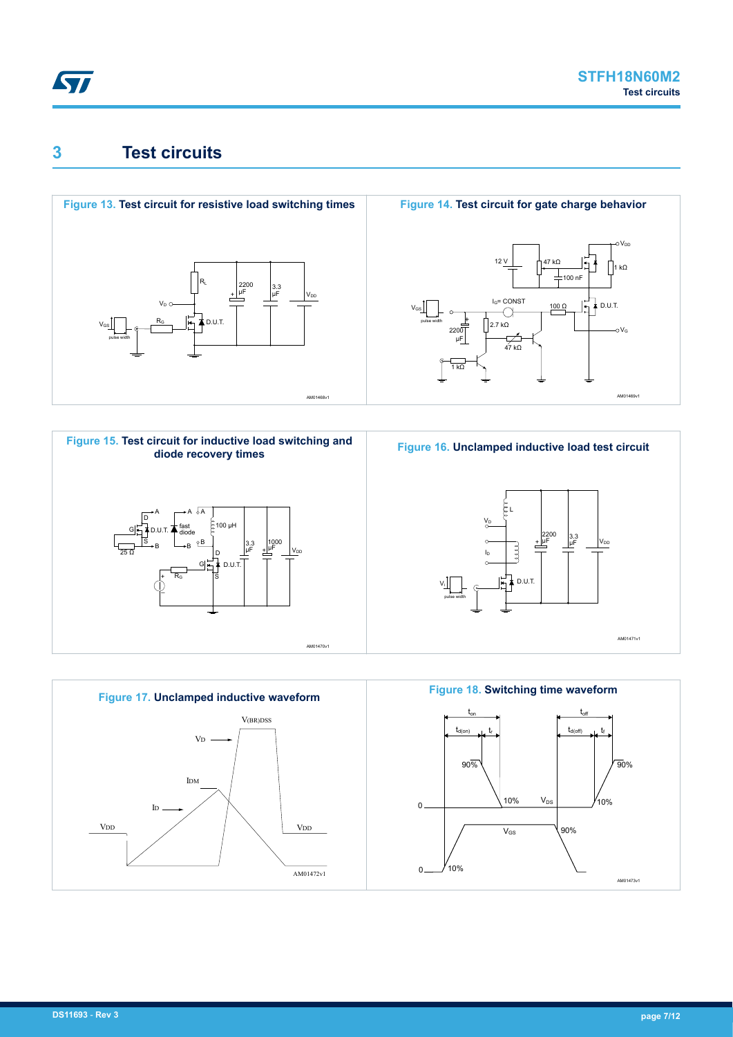<span id="page-6-0"></span>

AM01469v1

 $1 kQ$ 

oVor

 $\sim$ 

D.U.T.

## **3 Test circuits**







47 kΩ

 $100 Ω$ 

100 nF



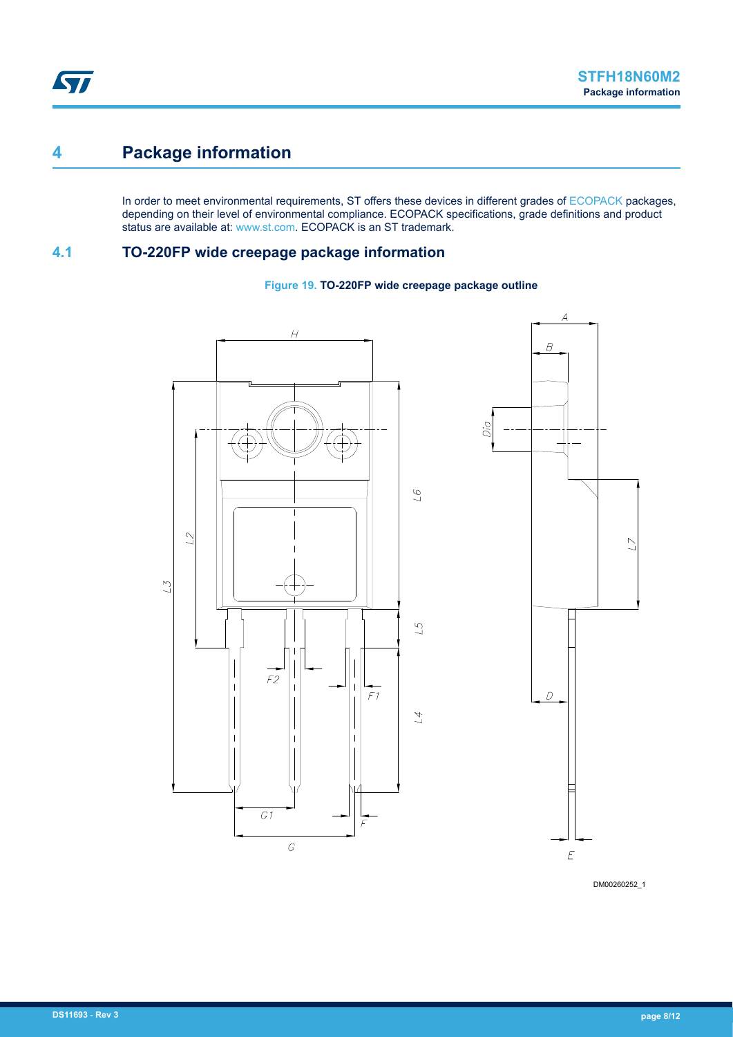## <span id="page-7-0"></span>**4 Package information**

In order to meet environmental requirements, ST offers these devices in different grades of [ECOPACK](https://www.st.com/ecopack) packages, depending on their level of environmental compliance. ECOPACK specifications, grade definitions and product status are available at: [www.st.com.](http://www.st.com) ECOPACK is an ST trademark.

### **4.1 TO-220FP wide creepage package information**

#### **Figure 19. TO-220FP wide creepage package outline**





DM00260252\_1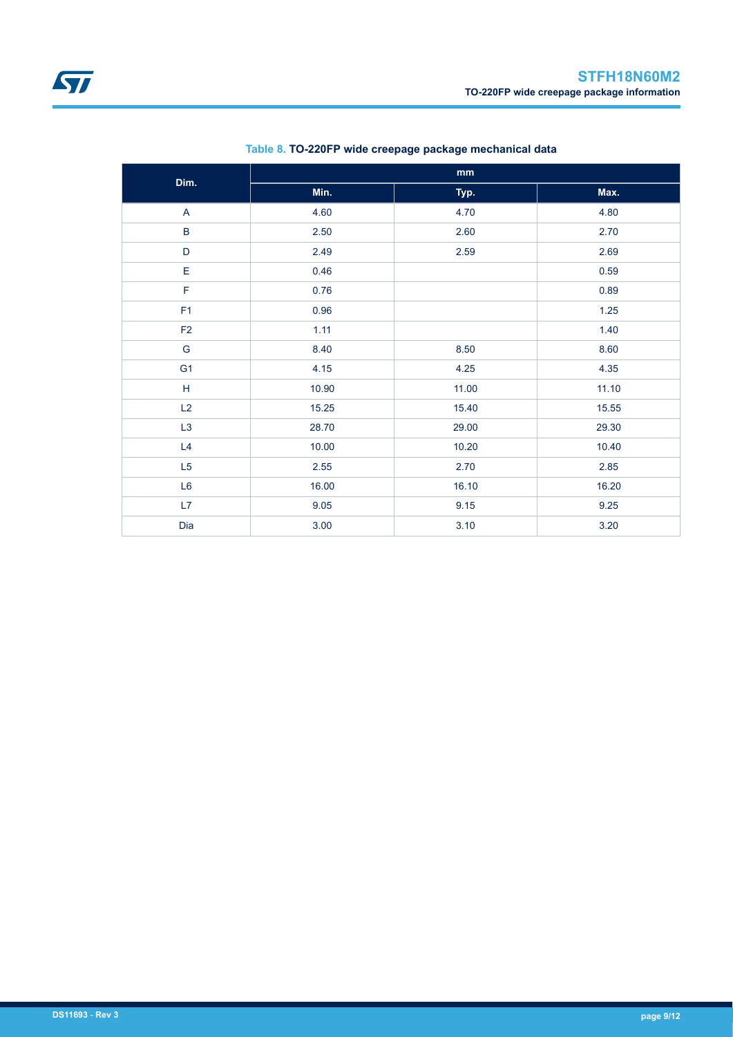| Dim.           |       | mm    |       |
|----------------|-------|-------|-------|
|                | Min.  | Typ.  | Max.  |
| A              | 4.60  | 4.70  | 4.80  |
| $\sf B$        | 2.50  | 2.60  | 2.70  |
| $\mathsf D$    | 2.49  | 2.59  | 2.69  |
| Е              | 0.46  |       | 0.59  |
| F              | 0.76  |       | 0.89  |
| F <sub>1</sub> | 0.96  |       | 1.25  |
| F <sub>2</sub> | 1.11  |       | 1.40  |
| ${\mathsf G}$  | 8.40  | 8.50  | 8.60  |
| G <sub>1</sub> | 4.15  | 4.25  | 4.35  |
| $\mathsf H$    | 10.90 | 11.00 | 11.10 |
| L2             | 15.25 | 15.40 | 15.55 |
| L3             | 28.70 | 29.00 | 29.30 |
| L4             | 10.00 | 10.20 | 10.40 |
| L5             | 2.55  | 2.70  | 2.85  |
| L6             | 16.00 | 16.10 | 16.20 |
| L7             | 9.05  | 9.15  | 9.25  |
| Dia            | 3.00  | 3.10  | 3.20  |

#### **Table 8. TO-220FP wide creepage package mechanical data**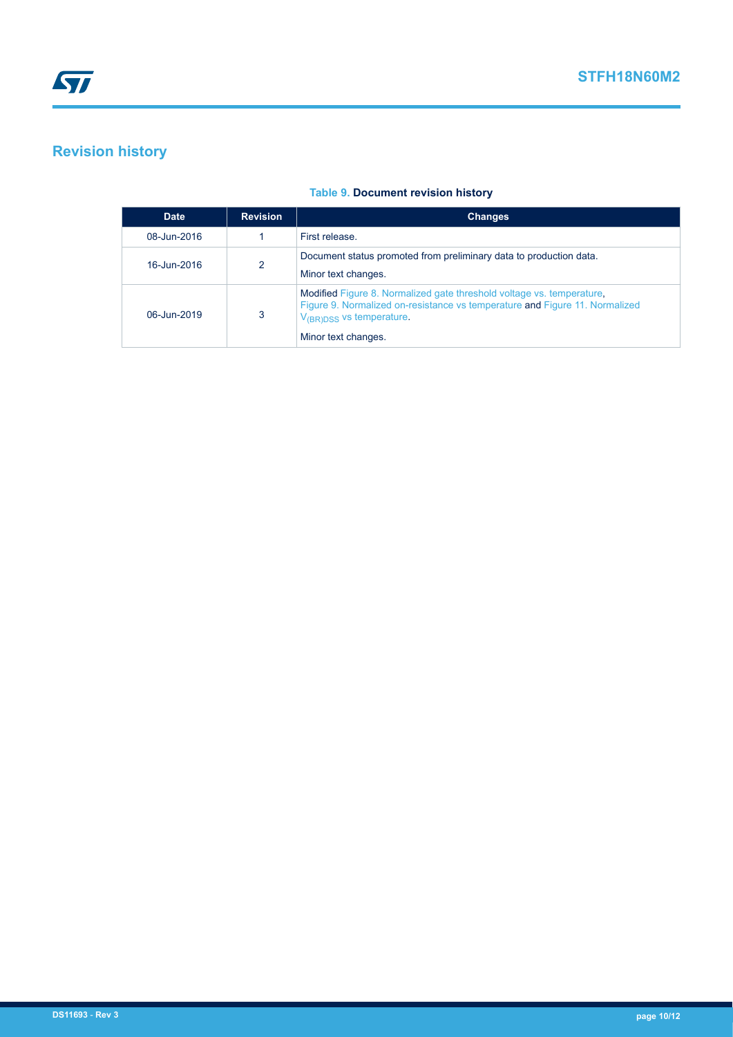## <span id="page-9-0"></span>**Revision history**

|  | <b>Table 9. Document revision history</b> |  |  |
|--|-------------------------------------------|--|--|
|--|-------------------------------------------|--|--|

| <b>Date</b> | <b>Revision</b> | <b>Changes</b>                                                                                                                                                                                                      |
|-------------|-----------------|---------------------------------------------------------------------------------------------------------------------------------------------------------------------------------------------------------------------|
| 08-Jun-2016 |                 | First release.                                                                                                                                                                                                      |
| 16-Jun-2016 | 2               | Document status promoted from preliminary data to production data.<br>Minor text changes.                                                                                                                           |
| 06-Jun-2019 | 3               | Modified Figure 8. Normalized gate threshold voltage vs. temperature.<br>Figure 9. Normalized on-resistance vs temperature and Figure 11. Normalized<br>$V_{\text{(BR)DSS}}$ vs temperature.<br>Minor text changes. |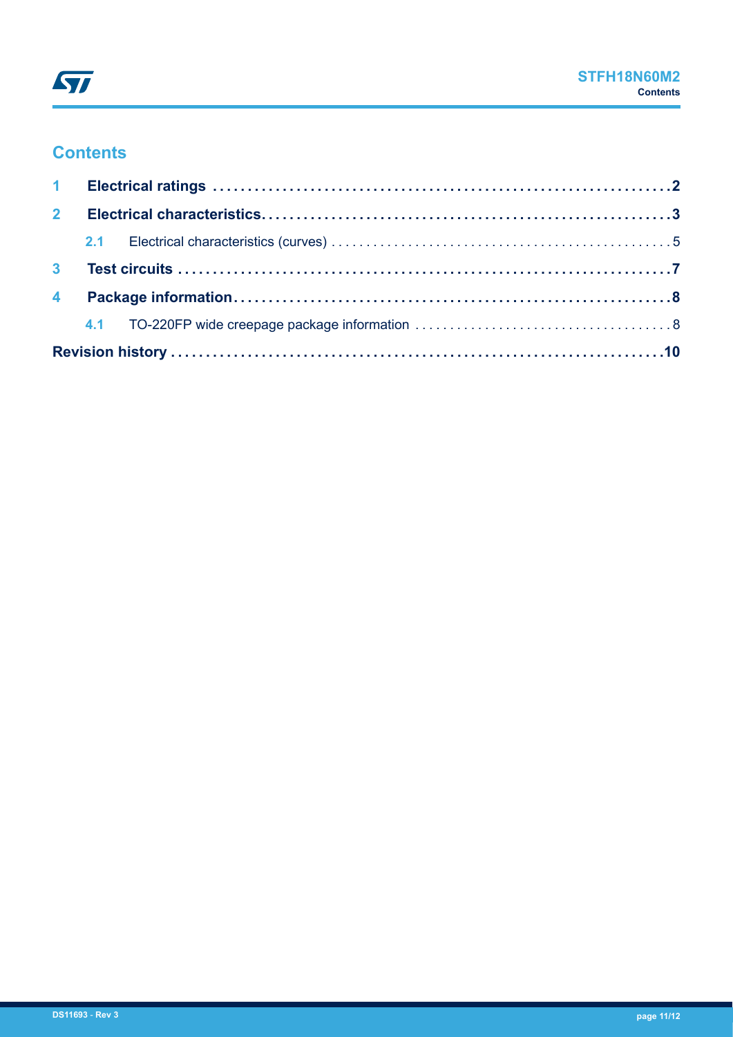## **Contents**

| 2 <sup>7</sup> |  |  |  |  |
|----------------|--|--|--|--|
|                |  |  |  |  |
| 3 <sup>1</sup> |  |  |  |  |
|                |  |  |  |  |
|                |  |  |  |  |
|                |  |  |  |  |